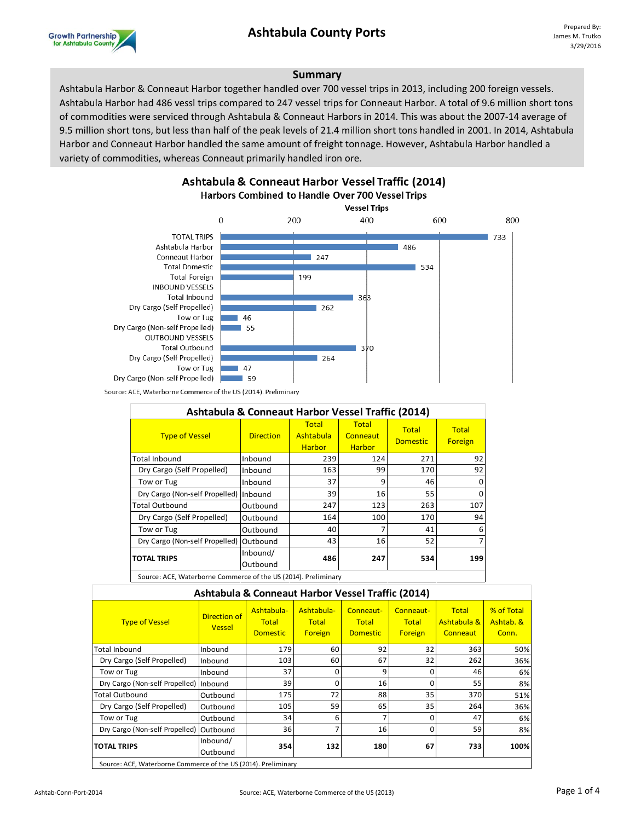## **Ashtabula County Ports** Prepared By:



#### **Summary**

Ashtabula Harbor & Conneaut Harbor together handled over 700 vessel trips in 2013, including 200 foreign vessels. Ashtabula Harbor had 486 vessl trips compared to 247 vessel trips for Conneaut Harbor. A total of 9.6 million short tons of commodities were serviced through Ashtabula & Conneaut Harbors in 2014. This was about the 2007-14 average of 9.5 million short tons, but less than half of the peak levels of 21.4 million short tons handled in 2001. In 2014, Ashtabula Harbor and Conneaut Harbor handled the same amount of freight tonnage. However, Ashtabula Harbor handled a variety of commodities, whereas Conneaut primarily handled iron ore.

Ashtabula & Conneaut Harbor Vessel Traffic (2014)



Source: ACE, Waterborne Commerce of the US (2014). Preliminary

| Ashtabula & Conneaut Harbor Vessel Traffic (2014) |                      |                                     |                                    |                                 |                         |  |  |
|---------------------------------------------------|----------------------|-------------------------------------|------------------------------------|---------------------------------|-------------------------|--|--|
| <b>Type of Vessel</b>                             | <b>Direction</b>     | Total<br>Ashtabula<br><b>Harbor</b> | Total<br>Conneaut<br><b>Harbor</b> | <b>Total</b><br><b>Domestic</b> | <b>Total</b><br>Foreign |  |  |
| <b>Total Inbound</b>                              | Inbound              | 239                                 | 124                                | 271                             | 92                      |  |  |
| Dry Cargo (Self Propelled)                        | Inbound              | 163                                 | 99                                 | 170                             | 92                      |  |  |
| Tow or Tug                                        | Inbound              | 37                                  | 9                                  | 46                              | o                       |  |  |
| Dry Cargo (Non-self Propelled) Inbound            |                      | 39                                  | 16                                 | 55                              |                         |  |  |
| <b>Total Outbound</b>                             | Outbound             | 247                                 | 123                                | 263                             | 107                     |  |  |
| Dry Cargo (Self Propelled)                        | Outbound             | 164                                 | 100                                | 170                             | 94                      |  |  |
| Tow or Tug                                        | Outbound             | 40                                  |                                    | 41                              | 6                       |  |  |
| Dry Cargo (Non-self Propelled)                    | Outbound             | 43                                  | 16                                 | 52                              |                         |  |  |
| <b>TOTAL TRIPS</b>                                | Inbound/<br>Outbound | 486                                 | 247                                | 534                             | 199                     |  |  |

Source: ACE, Waterborne Commerce of the US (2014). Preliminary

#### **Ashtabula & Conneaut Harbor Vessel Traffic (2014)**

| <b>Type of Vessel</b>                                          | <b>Direction of</b><br><b>Vessel</b> | Ashtabula-<br><b>Total</b><br><b>Domestic</b> | Ashtabula-<br><b>Total</b><br>Foreign | Conneaut-<br><b>Total</b><br><b>Domestic</b> | Conneaut-<br><b>Total</b><br>Foreign | <b>Total</b><br>Ashtabula &<br>Conneaut | % of Total<br>Ashtab. &<br>Conn. |
|----------------------------------------------------------------|--------------------------------------|-----------------------------------------------|---------------------------------------|----------------------------------------------|--------------------------------------|-----------------------------------------|----------------------------------|
| Total Inbound                                                  | Inbound                              | 179                                           | 60                                    | 92                                           | 32                                   | 363                                     | 50%                              |
| Dry Cargo (Self Propelled)                                     | Inbound                              | 103                                           | 60                                    | 67                                           | 32                                   | 262                                     | 36%                              |
| Tow or Tug                                                     | Inbound                              | 37                                            | 0                                     | 9                                            | 0                                    | 46                                      | 6%                               |
| Dry Cargo (Non-self Propelled)                                 | Inbound                              | 39                                            | ŋ                                     | 16                                           | U                                    | 55                                      | 8%                               |
| <b>Total Outbound</b>                                          | Outbound                             | 175                                           | 72                                    | 88                                           | 35                                   | 370                                     | 51%                              |
| Dry Cargo (Self Propelled)                                     | Outbound                             | 105                                           | 59                                    | 65                                           | 35                                   | 264                                     | 36%                              |
| Tow or Tug                                                     | Outbound                             | 34                                            | 6                                     | 7                                            | n                                    | 47                                      | 6%                               |
| Dry Cargo (Non-self Propelled)                                 | Outbound                             | 36 <sup>1</sup>                               |                                       | 16                                           |                                      | 59                                      | 8%                               |
| <b>TOTAL TRIPS</b>                                             | Inbound/<br>Outbound                 | 354                                           | 132                                   | 180                                          | 67                                   | 733                                     | 100%                             |
| Source: ACE, Waterborne Commerce of the US (2014). Proliminary |                                      |                                               |                                       |                                              |                                      |                                         |                                  |

Source: ACE, Waterborne Commerce of the US (2014). Preliminary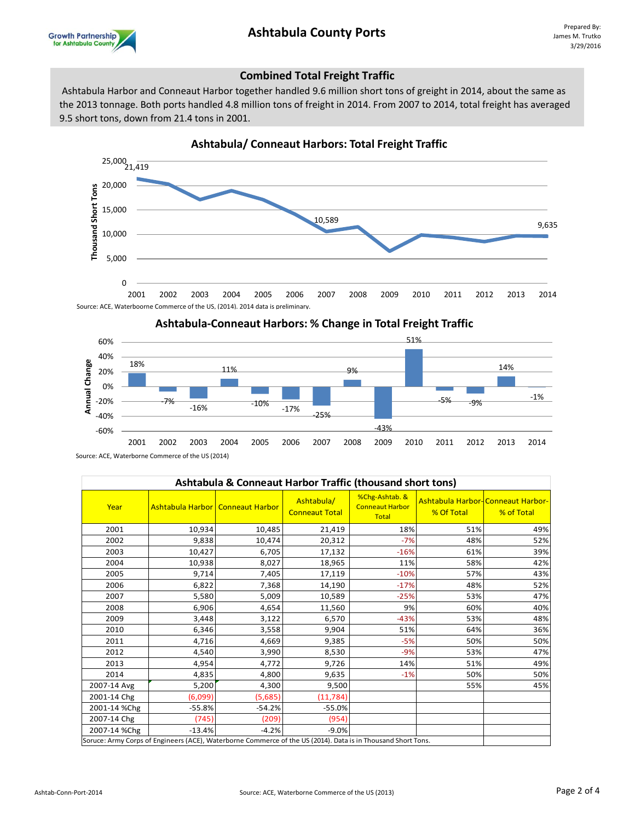# **Ashtabula County Ports** Prepared By:



#### **Combined Total Freight Traffic**

 Ashtabula Harbor and Conneaut Harbor together handled 9.6 million short tons of greight in 2014, about the same as the 2013 tonnage. Both ports handled 4.8 million tons of freight in 2014. From 2007 to 2014, total freight has averaged 9.5 short tons, down from 21.4 tons in 2001.





| Ashtabula & Conneaut Harbor Traffic (thousand short tons)                                                    |                                           |          |                                     |                                                          |            |                                                 |  |
|--------------------------------------------------------------------------------------------------------------|-------------------------------------------|----------|-------------------------------------|----------------------------------------------------------|------------|-------------------------------------------------|--|
| Year                                                                                                         | <b>Ashtabula Harbor   Conneaut Harbor</b> |          | Ashtabula/<br><b>Conneaut Total</b> | %Chg-Ashtab. &<br><b>Conneaut Harbor</b><br><b>Total</b> | % Of Total | Ashtabula Harbor-Conneaut Harbor-<br>% of Total |  |
| 2001                                                                                                         | 10,934                                    | 10,485   | 21,419                              | 18%                                                      | 51%        | 49%                                             |  |
| 2002                                                                                                         | 9,838                                     | 10,474   | 20,312                              | $-7%$                                                    | 48%        | 52%                                             |  |
| 2003                                                                                                         | 10,427                                    | 6,705    | 17,132                              | $-16%$                                                   | 61%        | 39%                                             |  |
| 2004                                                                                                         | 10,938                                    | 8,027    | 18,965                              | 11%                                                      | 58%        | 42%                                             |  |
| 2005                                                                                                         | 9,714                                     | 7,405    | 17,119                              | $-10%$                                                   | 57%        | 43%                                             |  |
| 2006                                                                                                         | 6,822                                     | 7,368    | 14,190                              | $-17%$                                                   | 48%        | 52%                                             |  |
| 2007                                                                                                         | 5,580                                     | 5,009    | 10,589                              | $-25%$                                                   | 53%        | 47%                                             |  |
| 2008                                                                                                         | 6,906                                     | 4,654    | 11,560                              | 9%                                                       | 60%        | 40%                                             |  |
| 2009                                                                                                         | 3,448                                     | 3,122    | 6,570                               | $-43%$                                                   | 53%        | 48%                                             |  |
| 2010                                                                                                         | 6,346                                     | 3,558    | 9,904                               | 51%                                                      | 64%        | 36%                                             |  |
| 2011                                                                                                         | 4,716                                     | 4,669    | 9,385                               | $-5%$                                                    | 50%        | 50%                                             |  |
| 2012                                                                                                         | 4,540                                     | 3,990    | 8,530                               | $-9%$                                                    | 53%        | 47%                                             |  |
| 2013                                                                                                         | 4,954                                     | 4.772    | 9,726                               | 14%                                                      | 51%        | 49%                                             |  |
| 2014                                                                                                         | 4,835                                     | 4,800    | 9,635                               | $-1%$                                                    | 50%        | 50%                                             |  |
| 2007-14 Avg                                                                                                  | 5,200                                     | 4,300    | 9,500                               |                                                          | 55%        | 45%                                             |  |
| 2001-14 Chg                                                                                                  | (6,099)                                   | (5,685)  | (11, 784)                           |                                                          |            |                                                 |  |
| 2001-14 %Chg                                                                                                 | $-55.8%$                                  | $-54.2%$ | $-55.0%$                            |                                                          |            |                                                 |  |
| 2007-14 Chg                                                                                                  | (745)                                     | (209)    | (954)                               |                                                          |            |                                                 |  |
| 2007-14 %Chg                                                                                                 | $-13.4%$                                  | $-4.2%$  | $-9.0%$                             |                                                          |            |                                                 |  |
| Soruce: Army Corps of Engineers (ACE), Waterborne Commerce of the US (2014). Data is in Thousand Short Tons. |                                           |          |                                     |                                                          |            |                                                 |  |

Source: ACE, Waterborne Commerce of the US (2014)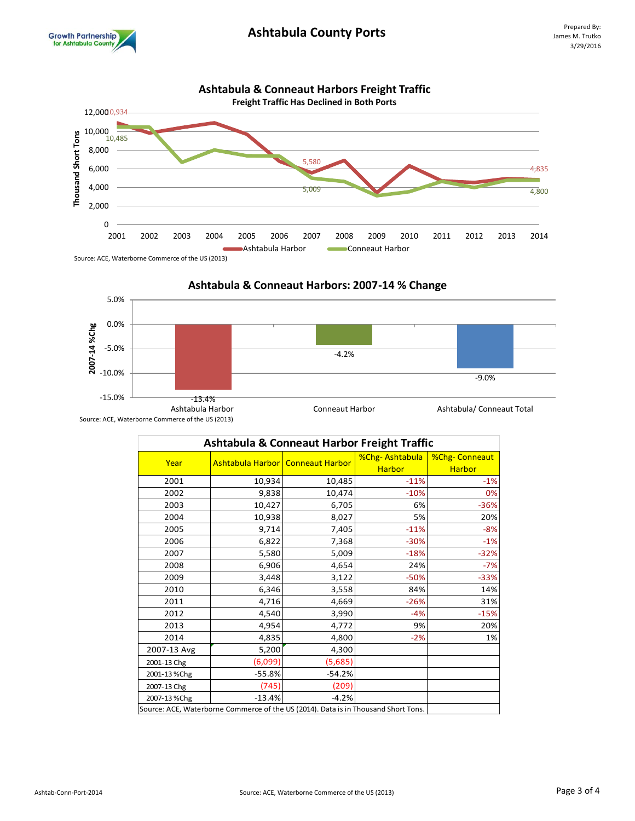





| <b>Ashtabula &amp; Conneaut Harbor Freight Traffic</b>                             |                                    |          |                                 |                                       |  |  |  |
|------------------------------------------------------------------------------------|------------------------------------|----------|---------------------------------|---------------------------------------|--|--|--|
| Year                                                                               | Ashtabula Harbor   Conneaut Harbor |          | %Chg-Ashtabula<br><b>Harbor</b> | <b>%Chg-Conneaut</b><br><b>Harbor</b> |  |  |  |
| 2001                                                                               | 10,934                             | 10,485   | $-11%$                          | $-1%$                                 |  |  |  |
| 2002                                                                               | 9,838                              | 10,474   | $-10%$                          | 0%                                    |  |  |  |
| 2003                                                                               | 10,427                             | 6,705    | 6%                              | $-36%$                                |  |  |  |
| 2004                                                                               | 10,938                             | 8,027    | 5%                              | 20%                                   |  |  |  |
| 2005                                                                               | 9,714                              | 7,405    | $-11%$                          | $-8%$                                 |  |  |  |
| 2006                                                                               | 6,822                              | 7,368    | $-30%$                          | $-1%$                                 |  |  |  |
| 2007                                                                               | 5,580                              | 5,009    | $-18%$                          | $-32%$                                |  |  |  |
| 2008                                                                               | 6,906                              | 4,654    | 24%                             | $-7%$                                 |  |  |  |
| 2009                                                                               | 3,448                              | 3,122    | $-50%$                          | $-33%$                                |  |  |  |
| 2010                                                                               | 6,346                              | 3,558    | 84%                             | 14%                                   |  |  |  |
| 2011                                                                               | 4,716                              | 4,669    | $-26%$                          | 31%                                   |  |  |  |
| 2012                                                                               | 4,540                              | 3,990    | $-4%$                           | $-15%$                                |  |  |  |
| 2013                                                                               | 4,954                              | 4,772    | 9%                              | 20%                                   |  |  |  |
| 2014                                                                               | 4,835                              | 4,800    | $-2%$                           | 1%                                    |  |  |  |
| 2007-13 Avg                                                                        | 5,200                              | 4,300    |                                 |                                       |  |  |  |
| 2001-13 Chg                                                                        | (6,099)                            | (5,685)  |                                 |                                       |  |  |  |
| 2001-13 %Chg                                                                       | $-55.8%$                           | $-54.2%$ |                                 |                                       |  |  |  |
| 2007-13 Chg                                                                        | (745)                              | (209)    |                                 |                                       |  |  |  |
| 2007-13 %Chg                                                                       | $-13.4%$                           | $-4.2%$  |                                 |                                       |  |  |  |
| Source: ACE, Waterborne Commerce of the US (2014). Data is in Thousand Short Tons. |                                    |          |                                 |                                       |  |  |  |